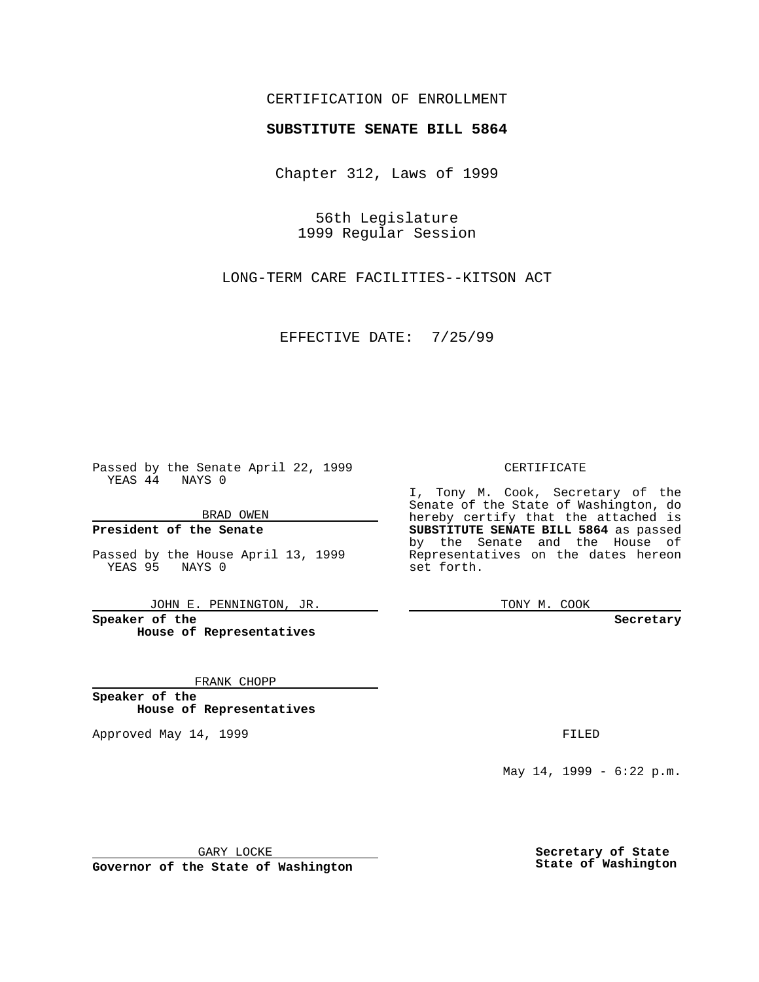## CERTIFICATION OF ENROLLMENT

## **SUBSTITUTE SENATE BILL 5864**

Chapter 312, Laws of 1999

56th Legislature 1999 Regular Session

LONG-TERM CARE FACILITIES--KITSON ACT

EFFECTIVE DATE: 7/25/99

Passed by the Senate April 22, 1999 YEAS 44 NAYS 0

BRAD OWEN

**President of the Senate**

Passed by the House April 13, 1999 YEAS 95 NAYS 0

JOHN E. PENNINGTON, JR.

**Speaker of the House of Representatives**

FRANK CHOPP

**Speaker of the House of Representatives**

Approved May 14, 1999 **FILED** 

CERTIFICATE

I, Tony M. Cook, Secretary of the Senate of the State of Washington, do hereby certify that the attached is **SUBSTITUTE SENATE BILL 5864** as passed by the Senate and the House of Representatives on the dates hereon set forth.

TONY M. COOK

**Secretary**

May 14, 1999 - 6:22 p.m.

GARY LOCKE

**Governor of the State of Washington**

**Secretary of State State of Washington**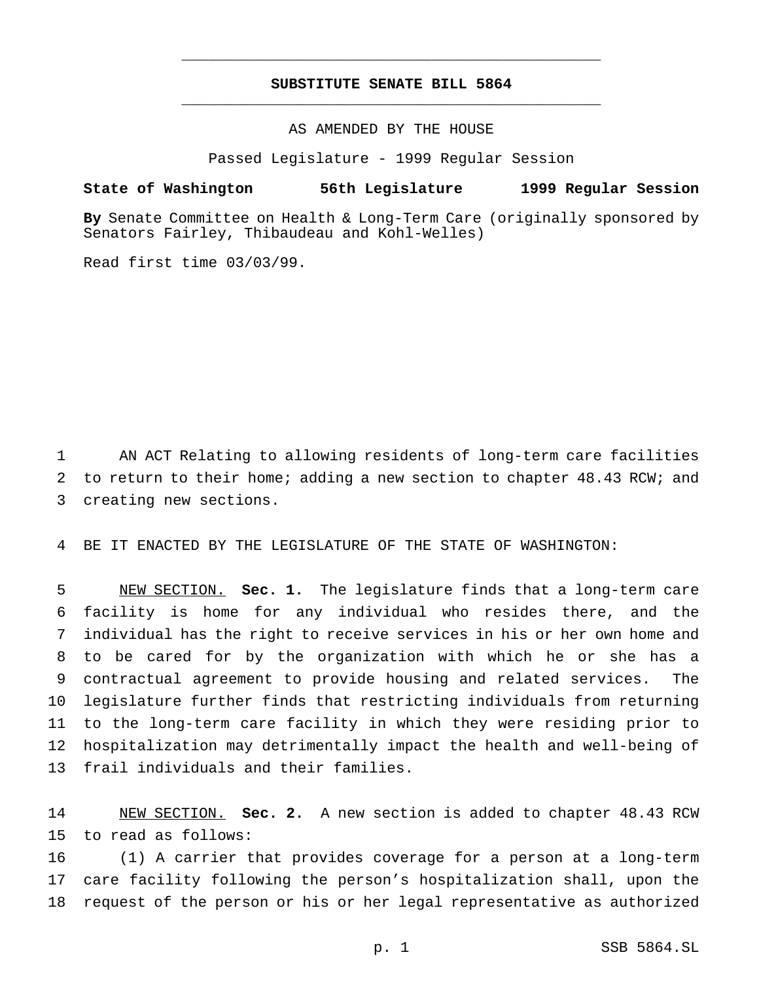## **SUBSTITUTE SENATE BILL 5864** \_\_\_\_\_\_\_\_\_\_\_\_\_\_\_\_\_\_\_\_\_\_\_\_\_\_\_\_\_\_\_\_\_\_\_\_\_\_\_\_\_\_\_\_\_\_\_

\_\_\_\_\_\_\_\_\_\_\_\_\_\_\_\_\_\_\_\_\_\_\_\_\_\_\_\_\_\_\_\_\_\_\_\_\_\_\_\_\_\_\_\_\_\_\_

AS AMENDED BY THE HOUSE

Passed Legislature - 1999 Regular Session

## **State of Washington 56th Legislature 1999 Regular Session**

**By** Senate Committee on Health & Long-Term Care (originally sponsored by Senators Fairley, Thibaudeau and Kohl-Welles)

Read first time 03/03/99.

 AN ACT Relating to allowing residents of long-term care facilities to return to their home; adding a new section to chapter 48.43 RCW; and creating new sections.

BE IT ENACTED BY THE LEGISLATURE OF THE STATE OF WASHINGTON:

 NEW SECTION. **Sec. 1.** The legislature finds that a long-term care facility is home for any individual who resides there, and the individual has the right to receive services in his or her own home and to be cared for by the organization with which he or she has a contractual agreement to provide housing and related services. The legislature further finds that restricting individuals from returning to the long-term care facility in which they were residing prior to hospitalization may detrimentally impact the health and well-being of frail individuals and their families.

 NEW SECTION. **Sec. 2.** A new section is added to chapter 48.43 RCW to read as follows:

 (1) A carrier that provides coverage for a person at a long-term care facility following the person's hospitalization shall, upon the request of the person or his or her legal representative as authorized